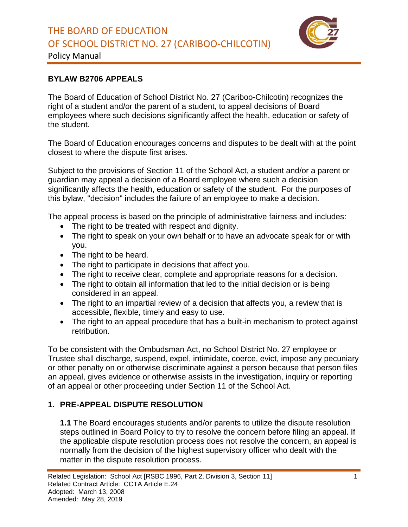

Policy Manual

#### **BYLAW B2706 APPEALS**

The Board of Education of School District No. 27 (Cariboo-Chilcotin) recognizes the right of a student and/or the parent of a student, to appeal decisions of Board employees where such decisions significantly affect the health, education or safety of the student.

The Board of Education encourages concerns and disputes to be dealt with at the point closest to where the dispute first arises.

Subject to the provisions of Section 11 of the School Act, a student and/or a parent or guardian may appeal a decision of a Board employee where such a decision significantly affects the health, education or safety of the student. For the purposes of this bylaw, "decision" includes the failure of an employee to make a decision.

The appeal process is based on the principle of administrative fairness and includes:

- The right to be treated with respect and dignity.
- The right to speak on your own behalf or to have an advocate speak for or with you.
- The right to be heard.
- The right to participate in decisions that affect you.
- The right to receive clear, complete and appropriate reasons for a decision.
- The right to obtain all information that led to the initial decision or is being considered in an appeal.
- The right to an impartial review of a decision that affects you, a review that is accessible, flexible, timely and easy to use.
- The right to an appeal procedure that has a built-in mechanism to protect against retribution.

To be consistent with the Ombudsman Act, no School District No. 27 employee or Trustee shall discharge, suspend, expel, intimidate, coerce, evict, impose any pecuniary or other penalty on or otherwise discriminate against a person because that person files an appeal, gives evidence or otherwise assists in the investigation, inquiry or reporting of an appeal or other proceeding under Section 11 of the School Act.

## **1. PRE-APPEAL DISPUTE RESOLUTION**

**1.1** The Board encourages students and/or parents to utilize the dispute resolution steps outlined in Board Policy to try to resolve the concern before filing an appeal. If the applicable dispute resolution process does not resolve the concern, an appeal is normally from the decision of the highest supervisory officer who dealt with the matter in the dispute resolution process.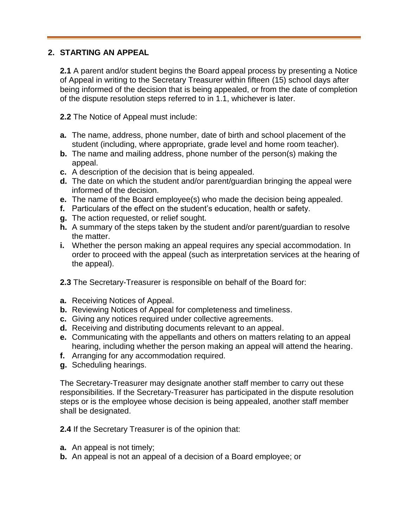#### **2. STARTING AN APPEAL**

**2.1** A parent and/or student begins the Board appeal process by presenting a Notice of Appeal in writing to the Secretary Treasurer within fifteen (15) school days after being informed of the decision that is being appealed, or from the date of completion of the dispute resolution steps referred to in 1.1, whichever is later.

**2.2** The Notice of Appeal must include:

- **a.** The name, address, phone number, date of birth and school placement of the student (including, where appropriate, grade level and home room teacher).
- **b.** The name and mailing address, phone number of the person(s) making the appeal.
- **c.** A description of the decision that is being appealed.
- **d.** The date on which the student and/or parent/guardian bringing the appeal were informed of the decision.
- **e.** The name of the Board employee(s) who made the decision being appealed.
- **f.** Particulars of the effect on the student's education, health or safety.
- **g.** The action requested, or relief sought.
- **h.** A summary of the steps taken by the student and/or parent/guardian to resolve the matter.
- **i.** Whether the person making an appeal requires any special accommodation. In order to proceed with the appeal (such as interpretation services at the hearing of the appeal).
- **2.3** The Secretary-Treasurer is responsible on behalf of the Board for:
- **a.** Receiving Notices of Appeal.
- **b.** Reviewing Notices of Appeal for completeness and timeliness.
- **c.** Giving any notices required under collective agreements.
- **d.** Receiving and distributing documents relevant to an appeal.
- **e.** Communicating with the appellants and others on matters relating to an appeal hearing, including whether the person making an appeal will attend the hearing.
- **f.** Arranging for any accommodation required.
- **g.** Scheduling hearings.

The Secretary-Treasurer may designate another staff member to carry out these responsibilities. If the Secretary-Treasurer has participated in the dispute resolution steps or is the employee whose decision is being appealed, another staff member shall be designated.

**2.4** If the Secretary Treasurer is of the opinion that:

- **a.** An appeal is not timely;
- **b.** An appeal is not an appeal of a decision of a Board employee; or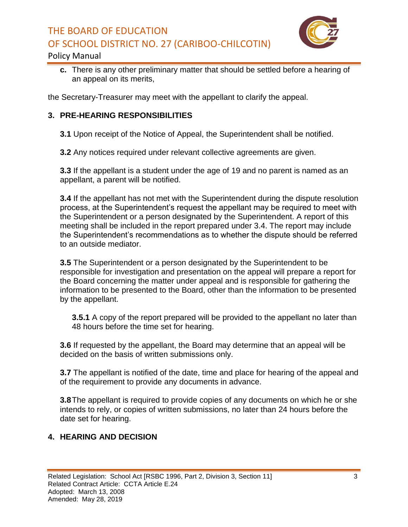# THE BOARD OF EDUCATION OF SCHOOL DISTRICT NO. 27 (CARIBOO-CHILCOTIN)



#### Policy Manual

**c.** There is any other preliminary matter that should be settled before a hearing of an appeal on its merits,

the Secretary-Treasurer may meet with the appellant to clarify the appeal.

#### **3. PRE-HEARING RESPONSIBILITIES**

**3.1** Upon receipt of the Notice of Appeal, the Superintendent shall be notified.

**3.2** Any notices required under relevant collective agreements are given.

**3.3** If the appellant is a student under the age of 19 and no parent is named as an appellant, a parent will be notified.

**3.4** If the appellant has not met with the Superintendent during the dispute resolution process, at the Superintendent's request the appellant may be required to meet with the Superintendent or a person designated by the Superintendent. A report of this meeting shall be included in the report prepared under 3.4. The report may include the Superintendent's recommendations as to whether the dispute should be referred to an outside mediator.

**3.5** The Superintendent or a person designated by the Superintendent to be responsible for investigation and presentation on the appeal will prepare a report for the Board concerning the matter under appeal and is responsible for gathering the information to be presented to the Board, other than the information to be presented by the appellant.

**3.5.1** A copy of the report prepared will be provided to the appellant no later than 48 hours before the time set for hearing.

**3.6** If requested by the appellant, the Board may determine that an appeal will be decided on the basis of written submissions only.

**3.7** The appellant is notified of the date, time and place for hearing of the appeal and of the requirement to provide any documents in advance.

**3.8**The appellant is required to provide copies of any documents on which he or she intends to rely, or copies of written submissions, no later than 24 hours before the date set for hearing.

## **4. HEARING AND DECISION**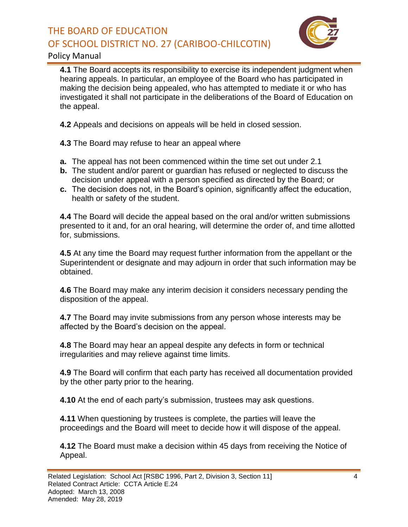# THE BOARD OF EDUCATION OF SCHOOL DISTRICT NO. 27 (CARIBOO-CHILCOTIN)



#### Policy Manual

**4.1** The Board accepts its responsibility to exercise its independent judgment when hearing appeals. In particular, an employee of the Board who has participated in making the decision being appealed, who has attempted to mediate it or who has investigated it shall not participate in the deliberations of the Board of Education on the appeal.

**4.2** Appeals and decisions on appeals will be held in closed session.

**4.3** The Board may refuse to hear an appeal where

- **a.** The appeal has not been commenced within the time set out under 2.1
- **b.** The student and/or parent or guardian has refused or neglected to discuss the decision under appeal with a person specified as directed by the Board; or
- **c.** The decision does not, in the Board's opinion, significantly affect the education, health or safety of the student.

**4.4** The Board will decide the appeal based on the oral and/or written submissions presented to it and, for an oral hearing, will determine the order of, and time allotted for, submissions.

**4.5** At any time the Board may request further information from the appellant or the Superintendent or designate and may adjourn in order that such information may be obtained.

**4.6** The Board may make any interim decision it considers necessary pending the disposition of the appeal.

**4.7** The Board may invite submissions from any person whose interests may be affected by the Board's decision on the appeal.

**4.8** The Board may hear an appeal despite any defects in form or technical irregularities and may relieve against time limits.

**4.9** The Board will confirm that each party has received all documentation provided by the other party prior to the hearing.

**4.10** At the end of each party's submission, trustees may ask questions.

**4.11** When questioning by trustees is complete, the parties will leave the proceedings and the Board will meet to decide how it will dispose of the appeal.

**4.12** The Board must make a decision within 45 days from receiving the Notice of Appeal.